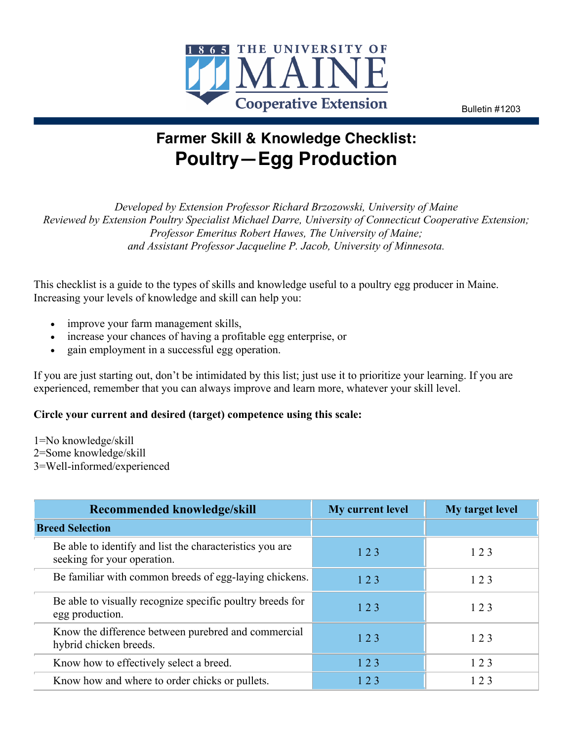

Bulletin #1203

# **Farmer Skill & Knowledge Checklist: Poultry—Egg Production**

*Developed by Extension Professor Richard Brzozowski, University of Maine Reviewed by Extension Poultry Specialist Michael Darre, University of Connecticut Cooperative Extension; Professor Emeritus Robert Hawes, The University of Maine; and Assistant Professor Jacqueline P. Jacob, University of Minnesota.*

This checklist is a guide to the types of skills and knowledge useful to a poultry egg producer in Maine. Increasing your levels of knowledge and skill can help you:

- improve your farm management skills,
- increase your chances of having a profitable egg enterprise, or
- gain employment in a successful egg operation.

If you are just starting out, don't be intimidated by this list; just use it to prioritize your learning. If you are experienced, remember that you can always improve and learn more, whatever your skill level.

## **Circle your current and desired (target) competence using this scale:**

- 1=No knowledge/skill
- 2=Some knowledge/skill
- 3=Well-informed/experienced

| Recommended knowledge/skill                                                             | My current level | My target level |
|-----------------------------------------------------------------------------------------|------------------|-----------------|
| <b>Breed Selection</b>                                                                  |                  |                 |
| Be able to identify and list the characteristics you are<br>seeking for your operation. | 123              | 123             |
| Be familiar with common breeds of egg-laying chickens.                                  | 123              | 123             |
| Be able to visually recognize specific poultry breeds for<br>egg production.            | 123              | 123             |
| Know the difference between purebred and commercial<br>hybrid chicken breeds.           | 123              | 123             |
| Know how to effectively select a breed.                                                 | 123              | 123             |
| Know how and where to order chicks or pullets.                                          | 123              | 123             |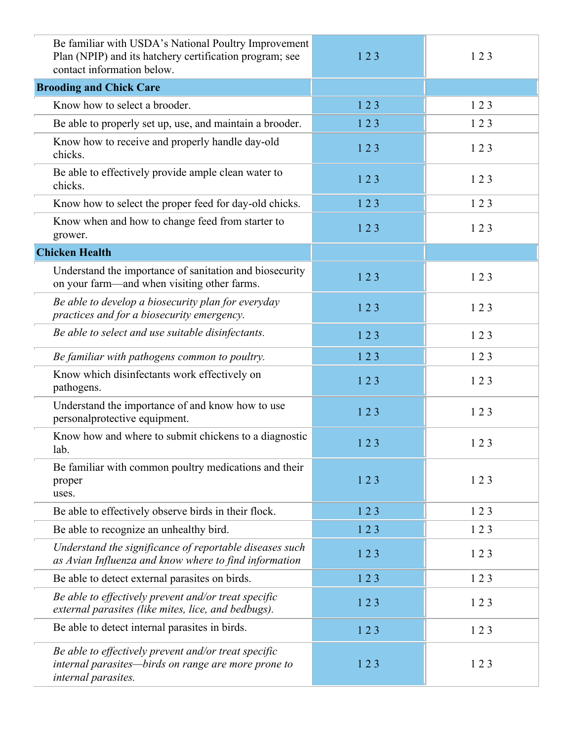| Be familiar with USDA's National Poultry Improvement<br>Plan (NPIP) and its hatchery certification program; see<br>contact information below. | 123 | 123 |
|-----------------------------------------------------------------------------------------------------------------------------------------------|-----|-----|
| <b>Brooding and Chick Care</b>                                                                                                                |     |     |
| Know how to select a brooder.                                                                                                                 | 123 | 123 |
| Be able to properly set up, use, and maintain a brooder.                                                                                      | 123 | 123 |
| Know how to receive and properly handle day-old<br>chicks.                                                                                    | 123 | 123 |
| Be able to effectively provide ample clean water to<br>chicks.                                                                                | 123 | 123 |
| Know how to select the proper feed for day-old chicks.                                                                                        | 123 | 123 |
| Know when and how to change feed from starter to<br>grower.                                                                                   | 123 | 123 |
| <b>Chicken Health</b>                                                                                                                         |     |     |
| Understand the importance of sanitation and biosecurity<br>on your farm—and when visiting other farms.                                        | 123 | 123 |
| Be able to develop a biosecurity plan for everyday<br>practices and for a biosecurity emergency.                                              | 123 | 123 |
| Be able to select and use suitable disinfectants.                                                                                             | 123 | 123 |
| Be familiar with pathogens common to poultry.                                                                                                 | 123 | 123 |
| Know which disinfectants work effectively on<br>pathogens.                                                                                    | 123 | 123 |
| Understand the importance of and know how to use<br>personalprotective equipment.                                                             | 123 | 123 |
| Know how and where to submit chickens to a diagnostic<br>lab.                                                                                 | 123 | 123 |
| Be familiar with common poultry medications and their<br>proper<br>uses.                                                                      | 123 | 123 |
| Be able to effectively observe birds in their flock.                                                                                          | 123 | 123 |
| Be able to recognize an unhealthy bird.                                                                                                       | 123 | 123 |
| Understand the significance of reportable diseases such<br>as Avian Influenza and know where to find information                              | 123 | 123 |
| Be able to detect external parasites on birds.                                                                                                | 123 | 123 |
| Be able to effectively prevent and/or treat specific<br>external parasites (like mites, lice, and bedbugs).                                   | 123 | 123 |
| Be able to detect internal parasites in birds.                                                                                                | 123 | 123 |
| Be able to effectively prevent and/or treat specific<br>internal parasites-birds on range are more prone to<br>internal parasites.            | 123 | 123 |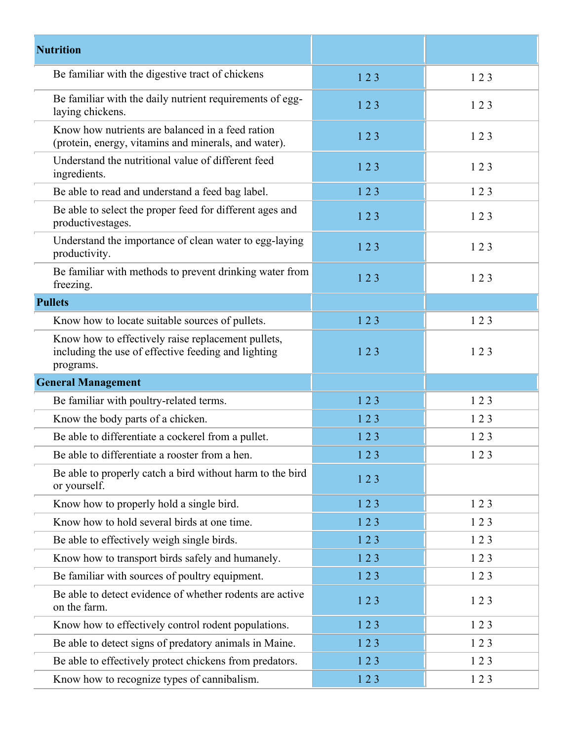| <b>Nutrition</b>                                                                                                       |     |     |
|------------------------------------------------------------------------------------------------------------------------|-----|-----|
| Be familiar with the digestive tract of chickens                                                                       | 123 | 123 |
| Be familiar with the daily nutrient requirements of egg-<br>laying chickens.                                           | 123 | 123 |
| Know how nutrients are balanced in a feed ration<br>(protein, energy, vitamins and minerals, and water).               | 123 | 123 |
| Understand the nutritional value of different feed<br>ingredients.                                                     | 123 | 123 |
| Be able to read and understand a feed bag label.                                                                       | 123 | 123 |
| Be able to select the proper feed for different ages and<br>productivestages.                                          | 123 | 123 |
| Understand the importance of clean water to egg-laying<br>productivity.                                                | 123 | 123 |
| Be familiar with methods to prevent drinking water from<br>freezing.                                                   | 123 | 123 |
| <b>Pullets</b>                                                                                                         |     |     |
| Know how to locate suitable sources of pullets.                                                                        | 123 | 123 |
| Know how to effectively raise replacement pullets,<br>including the use of effective feeding and lighting<br>programs. | 123 | 123 |
| <b>General Management</b>                                                                                              |     |     |
| Be familiar with poultry-related terms.                                                                                | 123 | 123 |
| Know the body parts of a chicken.                                                                                      | 123 | 123 |
| Be able to differentiate a cockerel from a pullet.                                                                     | 123 | 123 |
| Be able to differentiate a rooster from a hen.                                                                         | 123 | 123 |
| Be able to properly catch a bird without harm to the bird<br>or yourself.                                              | 123 |     |
| Know how to properly hold a single bird.                                                                               | 123 | 123 |
| Know how to hold several birds at one time.                                                                            | 123 | 123 |
| Be able to effectively weigh single birds.                                                                             | 123 | 123 |
| Know how to transport birds safely and humanely.                                                                       | 123 | 123 |
| Be familiar with sources of poultry equipment.                                                                         | 123 | 123 |
| Be able to detect evidence of whether rodents are active<br>on the farm.                                               | 123 | 123 |
| Know how to effectively control rodent populations.                                                                    | 123 | 123 |
| Be able to detect signs of predatory animals in Maine.                                                                 | 123 | 123 |
| Be able to effectively protect chickens from predators.                                                                | 123 | 123 |
| Know how to recognize types of cannibalism.                                                                            | 123 | 123 |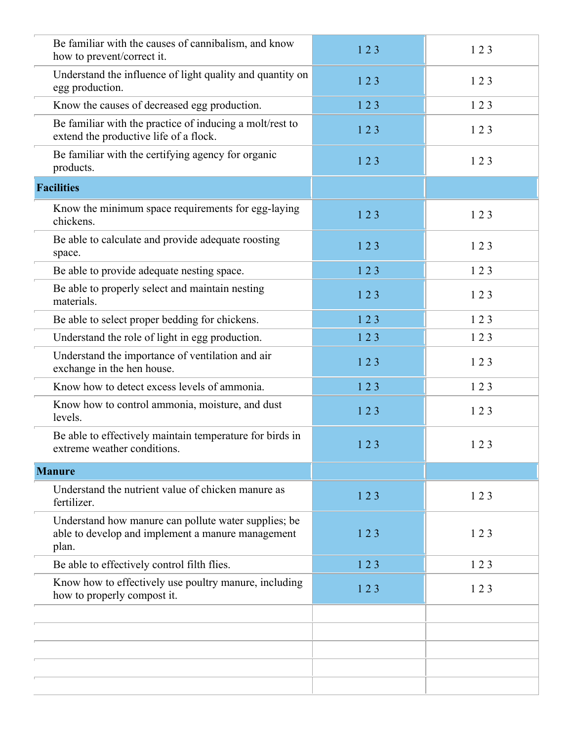| Be familiar with the causes of cannibalism, and know<br>how to prevent/correct it.                                 | 123 | 123 |
|--------------------------------------------------------------------------------------------------------------------|-----|-----|
| Understand the influence of light quality and quantity on<br>egg production.                                       | 123 | 123 |
| Know the causes of decreased egg production.                                                                       | 123 | 123 |
| Be familiar with the practice of inducing a molt/rest to<br>extend the productive life of a flock.                 | 123 | 123 |
| Be familiar with the certifying agency for organic<br>products.                                                    | 123 | 123 |
| <b>Facilities</b>                                                                                                  |     |     |
| Know the minimum space requirements for egg-laying<br>chickens.                                                    | 123 | 123 |
| Be able to calculate and provide adequate roosting<br>space.                                                       | 123 | 123 |
| Be able to provide adequate nesting space.                                                                         | 123 | 123 |
| Be able to properly select and maintain nesting<br>materials.                                                      | 123 | 123 |
| Be able to select proper bedding for chickens.                                                                     | 123 | 123 |
| Understand the role of light in egg production.                                                                    | 123 | 123 |
| Understand the importance of ventilation and air<br>exchange in the hen house.                                     | 123 | 123 |
| Know how to detect excess levels of ammonia.                                                                       | 123 | 123 |
| Know how to control ammonia, moisture, and dust<br>levels.                                                         | 123 | 123 |
| Be able to effectively maintain temperature for birds in<br>extreme weather conditions.                            | 123 | 123 |
| <b>Manure</b>                                                                                                      |     |     |
| Understand the nutrient value of chicken manure as<br>fertilizer.                                                  | 123 | 123 |
| Understand how manure can pollute water supplies; be<br>able to develop and implement a manure management<br>plan. | 123 | 123 |
| Be able to effectively control filth flies.                                                                        | 123 | 123 |
| Know how to effectively use poultry manure, including<br>how to properly compost it.                               | 123 | 123 |
|                                                                                                                    |     |     |
|                                                                                                                    |     |     |
|                                                                                                                    |     |     |
|                                                                                                                    |     |     |
|                                                                                                                    |     |     |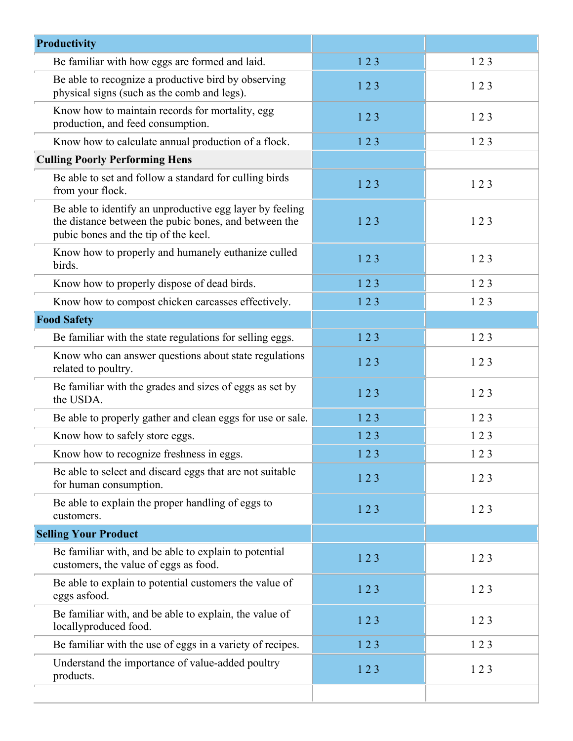| Productivity                                                                                                                                              |     |     |
|-----------------------------------------------------------------------------------------------------------------------------------------------------------|-----|-----|
| Be familiar with how eggs are formed and laid.                                                                                                            | 123 | 123 |
| Be able to recognize a productive bird by observing<br>physical signs (such as the comb and legs).                                                        | 123 | 123 |
| Know how to maintain records for mortality, egg<br>production, and feed consumption.                                                                      | 123 | 123 |
| Know how to calculate annual production of a flock.                                                                                                       | 123 | 123 |
| <b>Culling Poorly Performing Hens</b>                                                                                                                     |     |     |
| Be able to set and follow a standard for culling birds<br>from your flock.                                                                                | 123 | 123 |
| Be able to identify an unproductive egg layer by feeling<br>the distance between the pubic bones, and between the<br>pubic bones and the tip of the keel. | 123 | 123 |
| Know how to properly and humanely euthanize culled<br>birds.                                                                                              | 123 | 123 |
| Know how to properly dispose of dead birds.                                                                                                               | 123 | 123 |
| Know how to compost chicken carcasses effectively.                                                                                                        | 123 | 123 |
| <b>Food Safety</b>                                                                                                                                        |     |     |
| Be familiar with the state regulations for selling eggs.                                                                                                  | 123 | 123 |
| Know who can answer questions about state regulations<br>related to poultry.                                                                              | 123 | 123 |
| Be familiar with the grades and sizes of eggs as set by<br>the USDA.                                                                                      | 123 | 123 |
| Be able to properly gather and clean eggs for use or sale.                                                                                                | 123 | 123 |
| Know how to safely store eggs.                                                                                                                            | 123 | 123 |
| Know how to recognize freshness in eggs.                                                                                                                  | 123 | 123 |
| Be able to select and discard eggs that are not suitable<br>for human consumption.                                                                        | 123 | 123 |
| Be able to explain the proper handling of eggs to<br>customers.                                                                                           | 123 | 123 |
| <b>Selling Your Product</b>                                                                                                                               |     |     |
| Be familiar with, and be able to explain to potential<br>customers, the value of eggs as food.                                                            | 123 | 123 |
| Be able to explain to potential customers the value of<br>eggs asfood.                                                                                    | 123 | 123 |
| Be familiar with, and be able to explain, the value of<br>locallyproduced food.                                                                           | 123 | 123 |
| Be familiar with the use of eggs in a variety of recipes.                                                                                                 | 123 | 123 |
| Understand the importance of value-added poultry<br>products.                                                                                             | 123 | 123 |
|                                                                                                                                                           |     |     |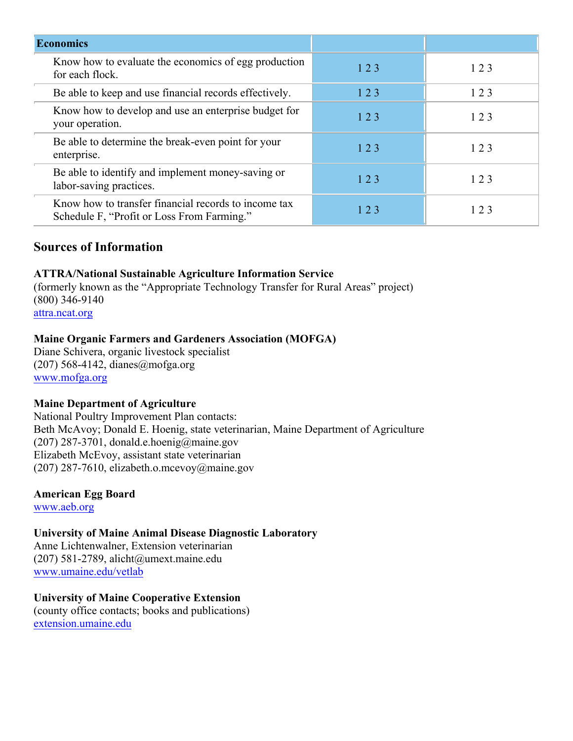| <b>Economics</b>                                                                                   |     |     |
|----------------------------------------------------------------------------------------------------|-----|-----|
| Know how to evaluate the economics of egg production<br>for each flock.                            | 123 | 123 |
| Be able to keep and use financial records effectively.                                             | 123 | 123 |
| Know how to develop and use an enterprise budget for<br>your operation.                            | 123 | 123 |
| Be able to determine the break-even point for your<br>enterprise.                                  | 123 | 123 |
| Be able to identify and implement money-saving or<br>labor-saving practices.                       | 123 | 123 |
| Know how to transfer financial records to income tax<br>Schedule F, "Profit or Loss From Farming." | 123 | 123 |

# **Sources of Information**

## **ATTRA/National Sustainable Agriculture Information Service**

(formerly known as the "Appropriate Technology Transfer for Rural Areas" project) (800) 346-9140 attra.ncat.org

#### **Maine Organic Farmers and Gardeners Association (MOFGA)**

Diane Schivera, organic livestock specialist (207) 568-4142, dianes@mofga.org www.mofga.org

## **Maine Department of Agriculture**

National Poultry Improvement Plan contacts: Beth McAvoy; Donald E. Hoenig, state veterinarian, Maine Department of Agriculture (207) 287-3701, donald.e.hoenig@maine.gov Elizabeth McEvoy, assistant state veterinarian (207) 287-7610, elizabeth.o.mcevoy@maine.gov

**American Egg Board**

www.aeb.org

# **University of Maine Animal Disease Diagnostic Laboratory**

Anne Lichtenwalner, Extension veterinarian (207) 581-2789, alicht@umext.maine.edu www.umaine.edu/vetlab

# **University of Maine Cooperative Extension**

(county office contacts; books and publications) extension.umaine.edu